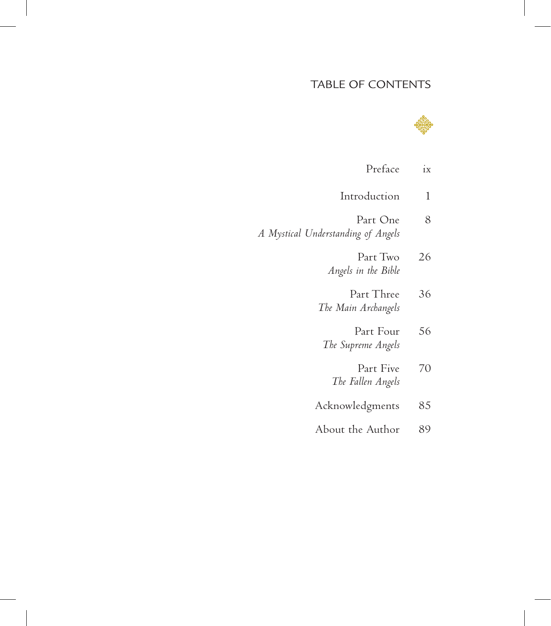## TABLE OF CONTENTS



| Preface                                        | ix |
|------------------------------------------------|----|
| Introduction                                   | 1  |
| Part One<br>A Mystical Understanding of Angels | 8  |
| Part Two<br>Angels in the Bible                | 26 |
| Part Three<br>The Main Archangels              | 36 |
| Part Four<br>The Supreme Angels                | 56 |
| Part Five<br>The Fallen Angels                 | 70 |
| Acknowledgments                                | 85 |
| About the Author                               | 89 |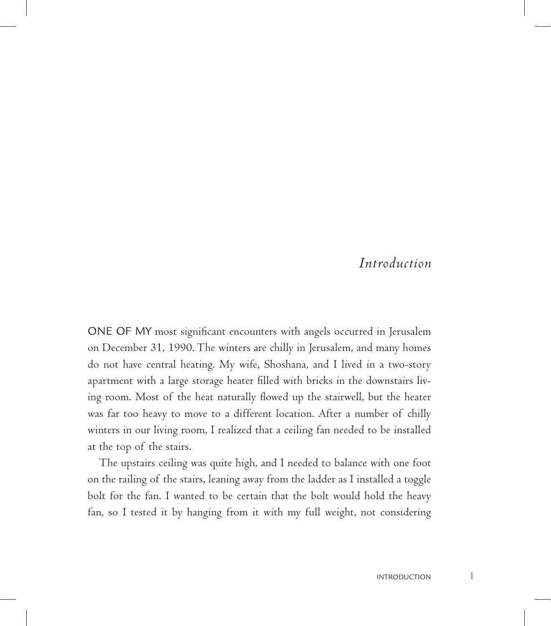## *Introduction*

ONE OF MY most significant encounters with angels occurred in Jerusalem on December 31, 1990. The winters are chilly in Jerusalem, and many homes do not have central heating. My wife, Shoshana, and I lived in a two-story apartment with a large storage heater filled with bricks in the downstairs living room. Most of the heat naturally flowed up the stairwell, but the heater was far too heavy to move to a different location. After a number of chilly winters in our living room, I realized that a ceiling fan needed to be installed at the top of the stairs.

The upstairs ceiling was quite high, and I needed to balance with one foot on the railing of the stairs, leaning away from the ladder as I installed a toggle bolt for the fan. I wanted to be certain that the bolt would hold the heavy fan, so I tested it by hanging from it with my full weight, not considering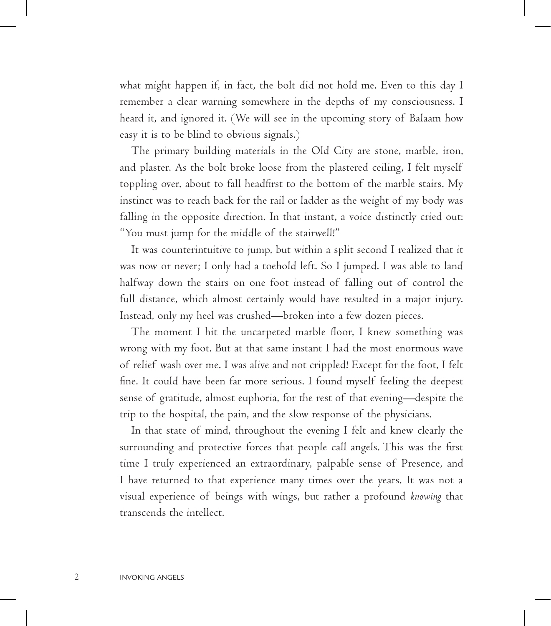what might happen if, in fact, the bolt did not hold me. Even to this day I remember a clear warning somewhere in the depths of my consciousness. I heard it, and ignored it. (We will see in the upcoming story of Balaam how easy it is to be blind to obvious signals.)

The primary building materials in the Old City are stone, marble, iron, and plaster. As the bolt broke loose from the plastered ceiling, I felt myself toppling over, about to fall headfirst to the bottom of the marble stairs. My instinct was to reach back for the rail or ladder as the weight of my body was falling in the opposite direction. In that instant, a voice distinctly cried out: "You must jump for the middle of the stairwell!"

It was counterintuitive to jump, but within a split second I realized that it was now or never; I only had a toehold left. So I jumped. I was able to land halfway down the stairs on one foot instead of falling out of control the full distance, which almost certainly would have resulted in a major injury. Instead, only my heel was crushed—broken into a few dozen pieces.

The moment I hit the uncarpeted marble floor, I knew something was wrong with my foot. But at that same instant I had the most enormous wave of relief wash over me. I was alive and not crippled! Except for the foot, I felt fine. It could have been far more serious. I found myself feeling the deepest sense of gratitude, almost euphoria, for the rest of that evening—despite the trip to the hospital, the pain, and the slow response of the physicians.

In that state of mind, throughout the evening I felt and knew clearly the surrounding and protective forces that people call angels. This was the first time I truly experienced an extraordinary, palpable sense of Presence, and I have returned to that experience many times over the years. It was not a visual experience of beings with wings, but rather a profound *knowing* that transcends the intellect.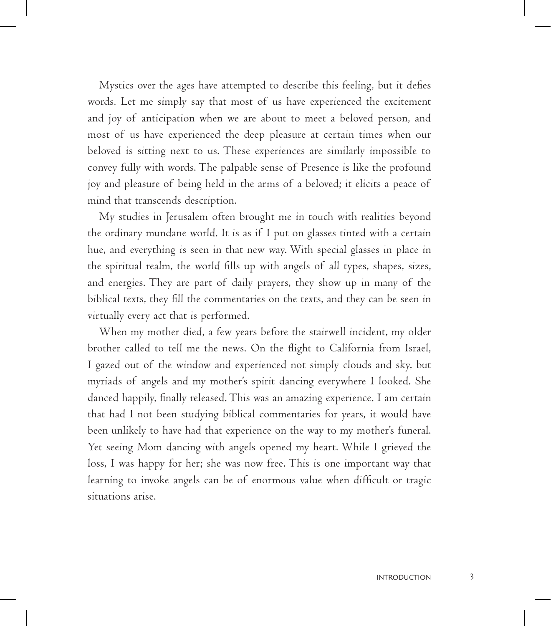Mystics over the ages have attempted to describe this feeling, but it defies words. Let me simply say that most of us have experienced the excitement and joy of anticipation when we are about to meet a beloved person, and most of us have experienced the deep pleasure at certain times when our beloved is sitting next to us. These experiences are similarly impossible to convey fully with words. The palpable sense of Presence is like the profound joy and pleasure of being held in the arms of a beloved; it elicits a peace of mind that transcends description.

My studies in Jerusalem often brought me in touch with realities beyond the ordinary mundane world. It is as if I put on glasses tinted with a certain hue, and everything is seen in that new way. With special glasses in place in the spiritual realm, the world fills up with angels of all types, shapes, sizes, and energies. They are part of daily prayers, they show up in many of the biblical texts, they fill the commentaries on the texts, and they can be seen in virtually every act that is performed.

When my mother died, a few years before the stairwell incident, my older brother called to tell me the news. On the flight to California from Israel, I gazed out of the window and experienced not simply clouds and sky, but myriads of angels and my mother's spirit dancing everywhere I looked. She danced happily, finally released. This was an amazing experience. I am certain that had I not been studying biblical commentaries for years, it would have been unlikely to have had that experience on the way to my mother's funeral. Yet seeing Mom dancing with angels opened my heart. While I grieved the loss, I was happy for her; she was now free. This is one important way that learning to invoke angels can be of enormous value when difficult or tragic situations arise.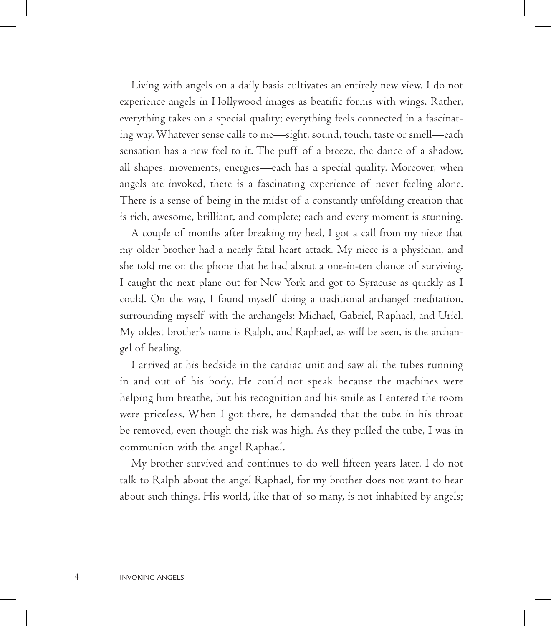Living with angels on a daily basis cultivates an entirely new view. I do not experience angels in Hollywood images as beatific forms with wings. Rather, everything takes on a special quality; everything feels connected in a fascinating way. Whatever sense calls to me—sight, sound, touch, taste or smell—each sensation has a new feel to it. The puff of a breeze, the dance of a shadow, all shapes, movements, energies—each has a special quality. Moreover, when angels are invoked, there is a fascinating experience of never feeling alone. There is a sense of being in the midst of a constantly unfolding creation that is rich, awesome, brilliant, and complete; each and every moment is stunning.

A couple of months after breaking my heel, I got a call from my niece that my older brother had a nearly fatal heart attack. My niece is a physician, and she told me on the phone that he had about a one-in-ten chance of surviving. I caught the next plane out for New York and got to Syracuse as quickly as I could. On the way, I found myself doing a traditional archangel meditation, surrounding myself with the archangels: Michael, Gabriel, Raphael, and Uriel. My oldest brother's name is Ralph, and Raphael, as will be seen, is the archangel of healing.

I arrived at his bedside in the cardiac unit and saw all the tubes running in and out of his body. He could not speak because the machines were helping him breathe, but his recognition and his smile as I entered the room were priceless. When I got there, he demanded that the tube in his throat be removed, even though the risk was high. As they pulled the tube, I was in communion with the angel Raphael.

My brother survived and continues to do well fifteen years later. I do not talk to Ralph about the angel Raphael, for my brother does not want to hear about such things. His world, like that of so many, is not inhabited by angels;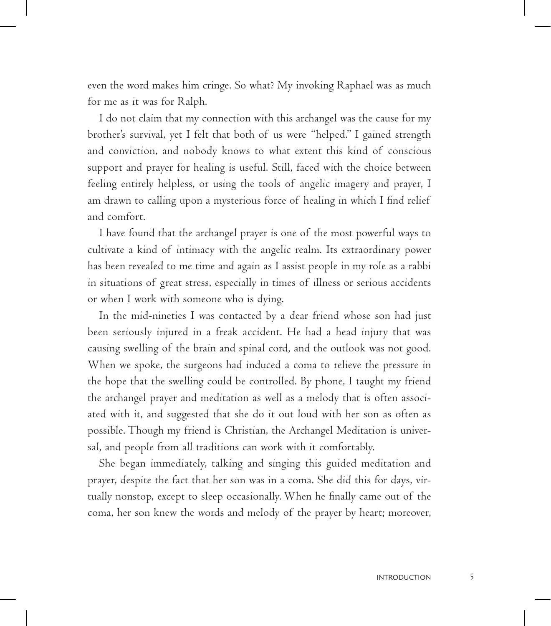even the word makes him cringe. So what? My invoking Raphael was as much for me as it was for Ralph.

I do not claim that my connection with this archangel was the cause for my brother's survival, yet I felt that both of us were "helped." I gained strength and conviction, and nobody knows to what extent this kind of conscious support and prayer for healing is useful. Still, faced with the choice between feeling entirely helpless, or using the tools of angelic imagery and prayer, I am drawn to calling upon a mysterious force of healing in which I find relief and comfort.

I have found that the archangel prayer is one of the most powerful ways to cultivate a kind of intimacy with the angelic realm. Its extraordinary power has been revealed to me time and again as I assist people in my role as a rabbi in situations of great stress, especially in times of illness or serious accidents or when I work with someone who is dying.

In the mid-nineties I was contacted by a dear friend whose son had just been seriously injured in a freak accident. He had a head injury that was causing swelling of the brain and spinal cord, and the outlook was not good. When we spoke, the surgeons had induced a coma to relieve the pressure in the hope that the swelling could be controlled. By phone, I taught my friend the archangel prayer and meditation as well as a melody that is often associated with it, and suggested that she do it out loud with her son as often as possible. Though my friend is Christian, the Archangel Meditation is universal, and people from all traditions can work with it comfortably.

She began immediately, talking and singing this guided meditation and prayer, despite the fact that her son was in a coma. She did this for days, virtually nonstop, except to sleep occasionally. When he finally came out of the coma, her son knew the words and melody of the prayer by heart; moreover,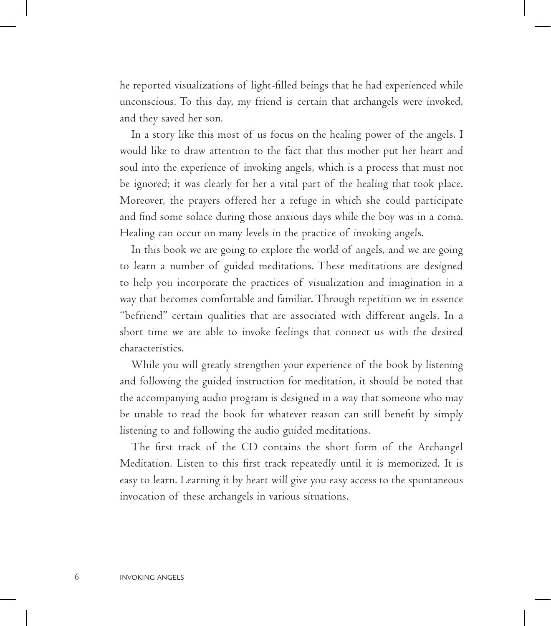he reported visualizations of light-filled beings that he had experienced while unconscious. To this day, my friend is certain that archangels were invoked, and they saved her son.

In a story like this most of us focus on the healing power of the angels. I would like to draw attention to the fact that this mother put her heart and soul into the experience of invoking angels, which is a process that must not be ignored; it was clearly for her a vital part of the healing that took place. Moreover, the prayers offered her a refuge in which she could participate and find some solace during those anxious days while the boy was in a coma. Healing can occur on many levels in the practice of invoking angels.

In this book we are going to explore the world of angels, and we are going to learn a number of guided meditations. These meditations are designed to help you incorporate the practices of visualization and imagination in a way that becomes comfortable and familiar. Through repetition we in essence "befriend" certain qualities that are associated with different angels. In a short time we are able to invoke feelings that connect us with the desired characteristics.

While you will greatly strengthen your experience of the book by listening and following the guided instruction for meditation, it should be noted that the accompanying audio program is designed in a way that someone who may be unable to read the book for whatever reason can still benefit by simply listening to and following the audio guided meditations.

The first track of the CD contains the short form of the Archangel Meditation. Listen to this first track repeatedly until it is memorized. It is easy to learn. Learning it by heart will give you easy access to the spontaneous invocation of these archangels in various situations.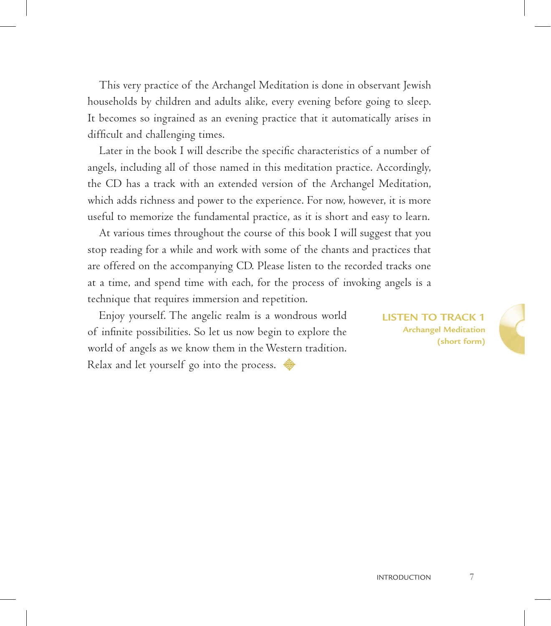This very practice of the Archangel Meditation is done in observant Jewish households by children and adults alike, every evening before going to sleep. It becomes so ingrained as an evening practice that it automatically arises in difficult and challenging times.

Later in the book I will describe the specific characteristics of a number of angels, including all of those named in this meditation practice. Accordingly, the CD has a track with an extended version of the Archangel Meditation, which adds richness and power to the experience. For now, however, it is more useful to memorize the fundamental practice, as it is short and easy to learn.

At various times throughout the course of this book I will suggest that you stop reading for a while and work with some of the chants and practices that are offered on the accompanying CD. Please listen to the recorded tracks one at a time, and spend time with each, for the process of invoking angels is a technique that requires immersion and repetition.

Enjoy yourself. The angelic realm is a wondrous world of infinite possibilities. So let us now begin to explore the world of angels as we know them in the Western tradition. Relax and let yourself go into the process.

**listen to track 1 Archangel Meditation (short form)**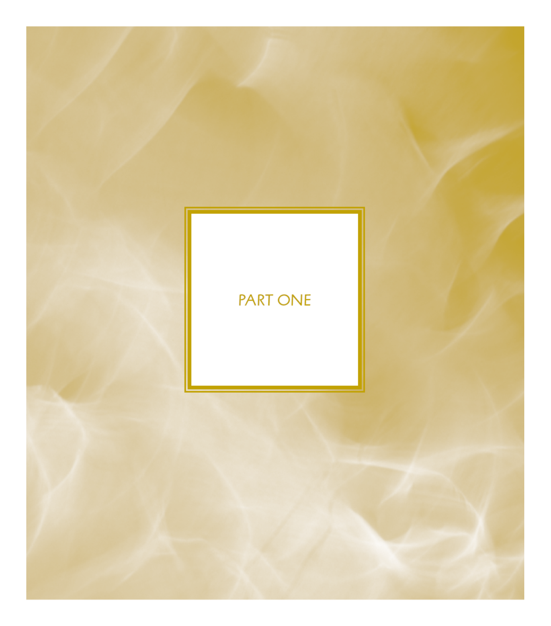## **PART ONE**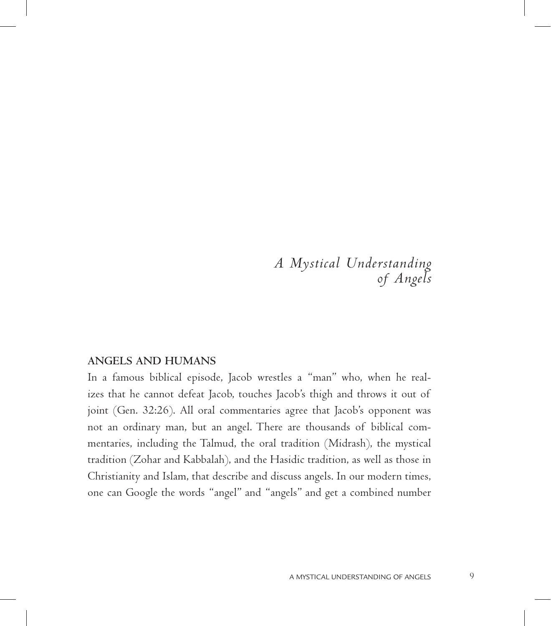*A Mystical Understanding of Angels*

## **Angels and Humans**

In a famous biblical episode, Jacob wrestles a "man" who, when he realizes that he cannot defeat Jacob, touches Jacob's thigh and throws it out of joint (Gen. 32:26). All oral commentaries agree that Jacob's opponent was not an ordinary man, but an angel. There are thousands of biblical commentaries, including the Talmud, the oral tradition (Midrash), the mystical tradition (Zohar and Kabbalah), and the Hasidic tradition, as well as those in Christianity and Islam, that describe and discuss angels. In our modern times, one can Google the words "angel" and "angels" and get a combined number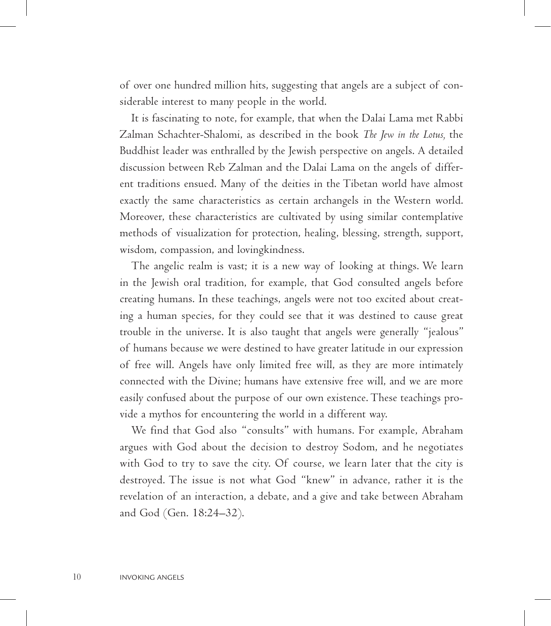of over one hundred million hits, suggesting that angels are a subject of considerable interest to many people in the world.

It is fascinating to note, for example, that when the Dalai Lama met Rabbi Zalman Schachter-Shalomi, as described in the book *The Jew in the Lotus,* the Buddhist leader was enthralled by the Jewish perspective on angels. A detailed discussion between Reb Zalman and the Dalai Lama on the angels of different traditions ensued. Many of the deities in the Tibetan world have almost exactly the same characteristics as certain archangels in the Western world. Moreover, these characteristics are cultivated by using similar contemplative methods of visualization for protection, healing, blessing, strength, support, wisdom, compassion, and lovingkindness.

The angelic realm is vast; it is a new way of looking at things. We learn in the Jewish oral tradition, for example, that God consulted angels before creating humans. In these teachings, angels were not too excited about creating a human species, for they could see that it was destined to cause great trouble in the universe. It is also taught that angels were generally "jealous" of humans because we were destined to have greater latitude in our expression of free will. Angels have only limited free will, as they are more intimately connected with the Divine; humans have extensive free will, and we are more easily confused about the purpose of our own existence. These teachings provide a mythos for encountering the world in a different way.

We find that God also "consults" with humans. For example, Abraham argues with God about the decision to destroy Sodom, and he negotiates with God to try to save the city. Of course, we learn later that the city is destroyed. The issue is not what God "knew" in advance, rather it is the revelation of an interaction, a debate, and a give and take between Abraham and God (Gen. 18:24–32).